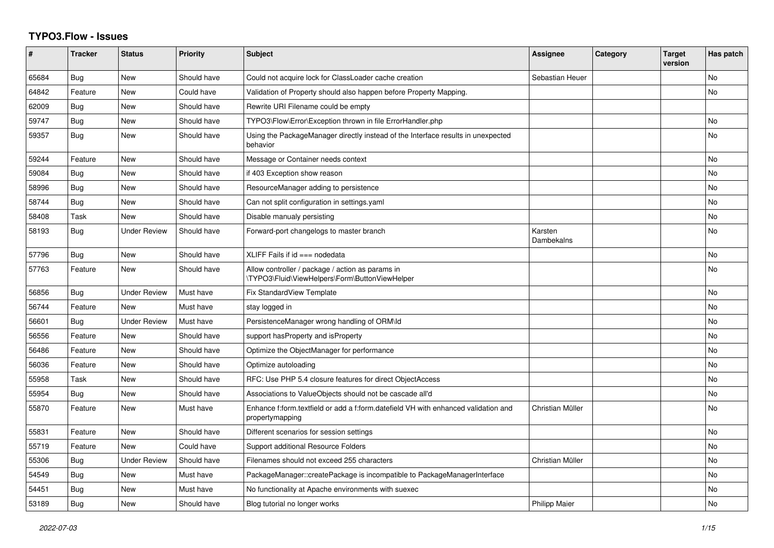## **TYPO3.Flow - Issues**

| #     | <b>Tracker</b> | <b>Status</b>       | <b>Priority</b> | <b>Subject</b>                                                                                        | <b>Assignee</b>       | <b>Category</b> | <b>Target</b><br>version | Has patch      |
|-------|----------------|---------------------|-----------------|-------------------------------------------------------------------------------------------------------|-----------------------|-----------------|--------------------------|----------------|
| 65684 | Bug            | <b>New</b>          | Should have     | Could not acquire lock for ClassLoader cache creation                                                 | Sebastian Heuer       |                 |                          | No             |
| 64842 | Feature        | <b>New</b>          | Could have      | Validation of Property should also happen before Property Mapping.                                    |                       |                 |                          | N <sub>o</sub> |
| 62009 | Bug            | <b>New</b>          | Should have     | Rewrite URI Filename could be empty                                                                   |                       |                 |                          |                |
| 59747 | <b>Bug</b>     | <b>New</b>          | Should have     | TYPO3\Flow\Error\Exception thrown in file ErrorHandler.php                                            |                       |                 |                          | No             |
| 59357 | Bug            | New                 | Should have     | Using the PackageManager directly instead of the Interface results in unexpected<br>behavior          |                       |                 |                          | No             |
| 59244 | Feature        | New                 | Should have     | Message or Container needs context                                                                    |                       |                 |                          | No.            |
| 59084 | <b>Bug</b>     | New                 | Should have     | if 403 Exception show reason                                                                          |                       |                 |                          | No.            |
| 58996 | Bug            | New                 | Should have     | ResourceManager adding to persistence                                                                 |                       |                 |                          | No             |
| 58744 | <b>Bug</b>     | <b>New</b>          | Should have     | Can not split configuration in settings yaml                                                          |                       |                 |                          | N <sub>o</sub> |
| 58408 | Task           | New                 | Should have     | Disable manualy persisting                                                                            |                       |                 |                          | No             |
| 58193 | <b>Bug</b>     | <b>Under Review</b> | Should have     | Forward-port changelogs to master branch                                                              | Karsten<br>Dambekalns |                 |                          | N <sub>o</sub> |
| 57796 | Bug            | <b>New</b>          | Should have     | $XLIFF$ Fails if $id ==$ nodedata                                                                     |                       |                 |                          | N <sub>o</sub> |
| 57763 | Feature        | New                 | Should have     | Allow controller / package / action as params in<br>\TYPO3\Fluid\ViewHelpers\Form\ButtonViewHelper    |                       |                 |                          | No             |
| 56856 | <b>Bug</b>     | <b>Under Review</b> | Must have       | Fix StandardView Template                                                                             |                       |                 |                          | N <sub>o</sub> |
| 56744 | Feature        | New                 | Must have       | stay logged in                                                                                        |                       |                 |                          | No             |
| 56601 | Bug            | <b>Under Review</b> | Must have       | PersistenceManager wrong handling of ORM\ld                                                           |                       |                 |                          | No             |
| 56556 | Feature        | New                 | Should have     | support hasProperty and isProperty                                                                    |                       |                 |                          | No.            |
| 56486 | Feature        | <b>New</b>          | Should have     | Optimize the ObjectManager for performance                                                            |                       |                 |                          | No             |
| 56036 | Feature        | New                 | Should have     | Optimize autoloading                                                                                  |                       |                 |                          | No.            |
| 55958 | Task           | <b>New</b>          | Should have     | RFC: Use PHP 5.4 closure features for direct ObjectAccess                                             |                       |                 |                          | No             |
| 55954 | <b>Bug</b>     | New                 | Should have     | Associations to ValueObjects should not be cascade all'd                                              |                       |                 |                          | N <sub>o</sub> |
| 55870 | Feature        | New                 | Must have       | Enhance f:form.textfield or add a f:form.datefield VH with enhanced validation and<br>propertymapping | Christian Müller      |                 |                          | No             |
| 55831 | Feature        | <b>New</b>          | Should have     | Different scenarios for session settings                                                              |                       |                 |                          | No.            |
| 55719 | Feature        | <b>New</b>          | Could have      | Support additional Resource Folders                                                                   |                       |                 |                          | No.            |
| 55306 | Bug            | <b>Under Review</b> | Should have     | Filenames should not exceed 255 characters                                                            | Christian Müller      |                 |                          | No             |
| 54549 | Bug            | <b>New</b>          | Must have       | PackageManager::createPackage is incompatible to PackageManagerInterface                              |                       |                 |                          | N <sub>o</sub> |
| 54451 | Bug            | <b>New</b>          | Must have       | No functionality at Apache environments with suexec                                                   |                       |                 |                          | No             |
| 53189 | Bug            | <b>New</b>          | Should have     | Blog tutorial no longer works                                                                         | <b>Philipp Maier</b>  |                 |                          | <b>No</b>      |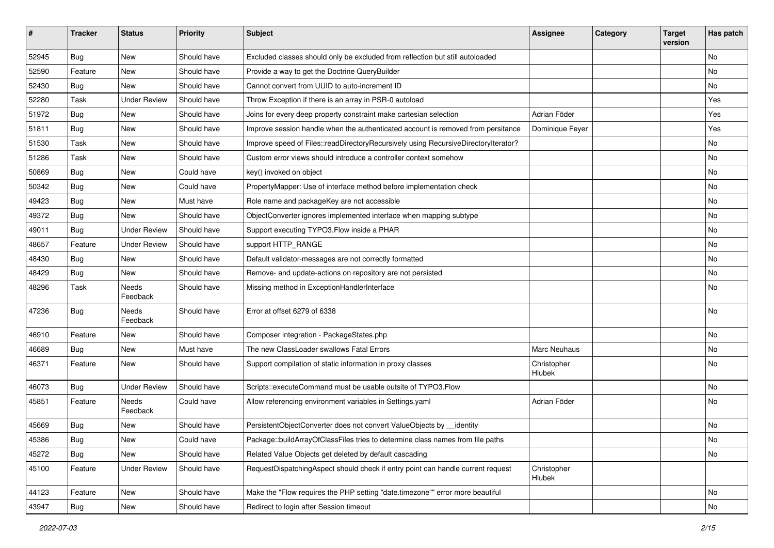| #     | <b>Tracker</b> | <b>Status</b>            | <b>Priority</b> | Subject                                                                            | <b>Assignee</b>       | Category | <b>Target</b><br>version | Has patch |
|-------|----------------|--------------------------|-----------------|------------------------------------------------------------------------------------|-----------------------|----------|--------------------------|-----------|
| 52945 | <b>Bug</b>     | New                      | Should have     | Excluded classes should only be excluded from reflection but still autoloaded      |                       |          |                          | No        |
| 52590 | Feature        | New                      | Should have     | Provide a way to get the Doctrine QueryBuilder                                     |                       |          |                          | No        |
| 52430 | Bug            | New                      | Should have     | Cannot convert from UUID to auto-increment ID                                      |                       |          |                          | No        |
| 52280 | Task           | <b>Under Review</b>      | Should have     | Throw Exception if there is an array in PSR-0 autoload                             |                       |          |                          | Yes       |
| 51972 | <b>Bug</b>     | New                      | Should have     | Joins for every deep property constraint make cartesian selection                  | Adrian Föder          |          |                          | Yes       |
| 51811 | <b>Bug</b>     | New                      | Should have     | Improve session handle when the authenticated account is removed from persitance   | Dominique Feyer       |          |                          | Yes       |
| 51530 | Task           | New                      | Should have     | Improve speed of Files::readDirectoryRecursively using RecursiveDirectoryIterator? |                       |          |                          | No        |
| 51286 | Task           | New                      | Should have     | Custom error views should introduce a controller context somehow                   |                       |          |                          | No        |
| 50869 | <b>Bug</b>     | New                      | Could have      | key() invoked on object                                                            |                       |          |                          | No        |
| 50342 | Bug            | New                      | Could have      | PropertyMapper: Use of interface method before implementation check                |                       |          |                          | No        |
| 49423 | <b>Bug</b>     | New                      | Must have       | Role name and packageKey are not accessible                                        |                       |          |                          | No        |
| 49372 | <b>Bug</b>     | New                      | Should have     | ObjectConverter ignores implemented interface when mapping subtype                 |                       |          |                          | No        |
| 49011 | <b>Bug</b>     | <b>Under Review</b>      | Should have     | Support executing TYPO3.Flow inside a PHAR                                         |                       |          |                          | No        |
| 48657 | Feature        | <b>Under Review</b>      | Should have     | support HTTP_RANGE                                                                 |                       |          |                          | No        |
| 48430 | <b>Bug</b>     | New                      | Should have     | Default validator-messages are not correctly formatted                             |                       |          |                          | No        |
| 48429 | Bug            | New                      | Should have     | Remove- and update-actions on repository are not persisted                         |                       |          |                          | No        |
| 48296 | Task           | <b>Needs</b><br>Feedback | Should have     | Missing method in ExceptionHandlerInterface                                        |                       |          |                          | No        |
| 47236 | <b>Bug</b>     | Needs<br>Feedback        | Should have     | Error at offset 6279 of 6338                                                       |                       |          |                          | <b>No</b> |
| 46910 | Feature        | New                      | Should have     | Composer integration - PackageStates.php                                           |                       |          |                          | No        |
| 46689 | <b>Bug</b>     | New                      | Must have       | The new ClassLoader swallows Fatal Errors                                          | Marc Neuhaus          |          |                          | No        |
| 46371 | Feature        | New                      | Should have     | Support compilation of static information in proxy classes                         | Christopher<br>Hlubek |          |                          | No        |
| 46073 | <b>Bug</b>     | <b>Under Review</b>      | Should have     | Scripts::executeCommand must be usable outsite of TYPO3.Flow                       |                       |          |                          | No        |
| 45851 | Feature        | Needs<br>Feedback        | Could have      | Allow referencing environment variables in Settings.yaml                           | Adrian Föder          |          |                          | No        |
| 45669 | <b>Bug</b>     | New                      | Should have     | PersistentObjectConverter does not convert ValueObjects by __identity              |                       |          |                          | No        |
| 45386 | <b>Bug</b>     | New                      | Could have      | Package::buildArrayOfClassFiles tries to determine class names from file paths     |                       |          |                          | No.       |
| 45272 | Bug            | New                      | Should have     | Related Value Objects get deleted by default cascading                             |                       |          |                          | No        |
| 45100 | Feature        | <b>Under Review</b>      | Should have     | RequestDispatchingAspect should check if entry point can handle current request    | Christopher<br>Hlubek |          |                          |           |
| 44123 | Feature        | New                      | Should have     | Make the "Flow requires the PHP setting "date.timezone"" error more beautiful      |                       |          |                          | No        |
| 43947 | Bug            | New                      | Should have     | Redirect to login after Session timeout                                            |                       |          |                          | No        |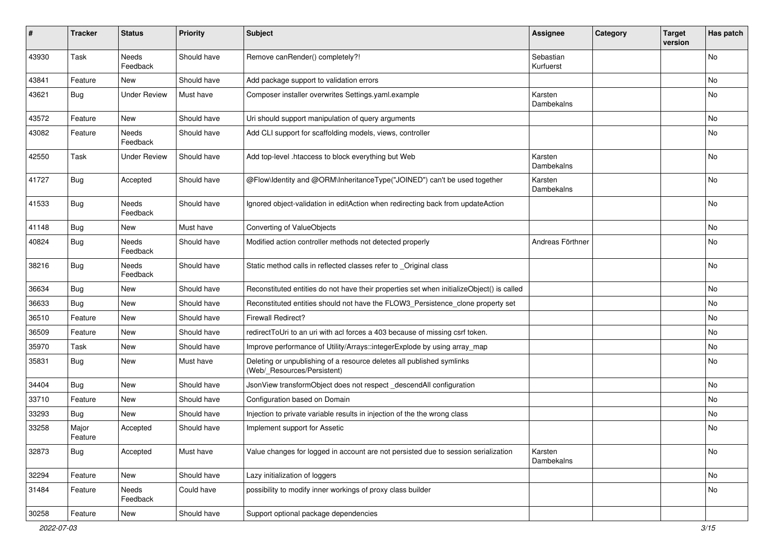| #     | <b>Tracker</b>   | <b>Status</b>       | <b>Priority</b> | Subject                                                                                              | <b>Assignee</b>        | Category | <b>Target</b><br>version | Has patch |
|-------|------------------|---------------------|-----------------|------------------------------------------------------------------------------------------------------|------------------------|----------|--------------------------|-----------|
| 43930 | Task             | Needs<br>Feedback   | Should have     | Remove canRender() completely?!                                                                      | Sebastian<br>Kurfuerst |          |                          | No        |
| 43841 | Feature          | New                 | Should have     | Add package support to validation errors                                                             |                        |          |                          | No        |
| 43621 | Bug              | <b>Under Review</b> | Must have       | Composer installer overwrites Settings.yaml.example                                                  | Karsten<br>Dambekalns  |          |                          | No        |
| 43572 | Feature          | New                 | Should have     | Uri should support manipulation of query arguments                                                   |                        |          |                          | <b>No</b> |
| 43082 | Feature          | Needs<br>Feedback   | Should have     | Add CLI support for scaffolding models, views, controller                                            |                        |          |                          | No        |
| 42550 | Task             | <b>Under Review</b> | Should have     | Add top-level .htaccess to block everything but Web                                                  | Karsten<br>Dambekalns  |          |                          | No        |
| 41727 | <b>Bug</b>       | Accepted            | Should have     | @Flow\Identity and @ORM\InheritanceType("JOINED") can't be used together                             | Karsten<br>Dambekalns  |          |                          | No        |
| 41533 | Bug              | Needs<br>Feedback   | Should have     | Ignored object-validation in editAction when redirecting back from updateAction                      |                        |          |                          | No        |
| 41148 | <b>Bug</b>       | <b>New</b>          | Must have       | Converting of ValueObjects                                                                           |                        |          |                          | No        |
| 40824 | <b>Bug</b>       | Needs<br>Feedback   | Should have     | Modified action controller methods not detected properly                                             | Andreas Förthner       |          |                          | No        |
| 38216 | <b>Bug</b>       | Needs<br>Feedback   | Should have     | Static method calls in reflected classes refer to _Original class                                    |                        |          |                          | No        |
| 36634 | <b>Bug</b>       | New                 | Should have     | Reconstituted entities do not have their properties set when initializeObject() is called            |                        |          |                          | <b>No</b> |
| 36633 | <b>Bug</b>       | New                 | Should have     | Reconstituted entities should not have the FLOW3_Persistence_clone property set                      |                        |          |                          | No        |
| 36510 | Feature          | New                 | Should have     | <b>Firewall Redirect?</b>                                                                            |                        |          |                          | No        |
| 36509 | Feature          | New                 | Should have     | redirectToUri to an uri with acl forces a 403 because of missing csrf token.                         |                        |          |                          | No        |
| 35970 | Task             | New                 | Should have     | Improve performance of Utility/Arrays::integerExplode by using array_map                             |                        |          |                          | No        |
| 35831 | <b>Bug</b>       | New                 | Must have       | Deleting or unpublishing of a resource deletes all published symlinks<br>(Web/_Resources/Persistent) |                        |          |                          | No        |
| 34404 | Bug              | <b>New</b>          | Should have     | JsonView transformObject does not respect _descendAll configuration                                  |                        |          |                          | No        |
| 33710 | Feature          | New                 | Should have     | Configuration based on Domain                                                                        |                        |          |                          | No        |
| 33293 | <b>Bug</b>       | New                 | Should have     | Injection to private variable results in injection of the the wrong class                            |                        |          |                          | No        |
| 33258 | Major<br>Feature | Accepted            | Should have     | Implement support for Assetic                                                                        |                        |          |                          | No        |
| 32873 | <b>Bug</b>       | Accepted            | Must have       | Value changes for logged in account are not persisted due to session serialization                   | Karsten<br>Dambekalns  |          |                          | No        |
| 32294 | Feature          | New                 | Should have     | Lazy initialization of loggers                                                                       |                        |          |                          | No        |
| 31484 | Feature          | Needs<br>Feedback   | Could have      | possibility to modify inner workings of proxy class builder                                          |                        |          |                          | No        |
| 30258 | Feature          | New                 | Should have     | Support optional package dependencies                                                                |                        |          |                          |           |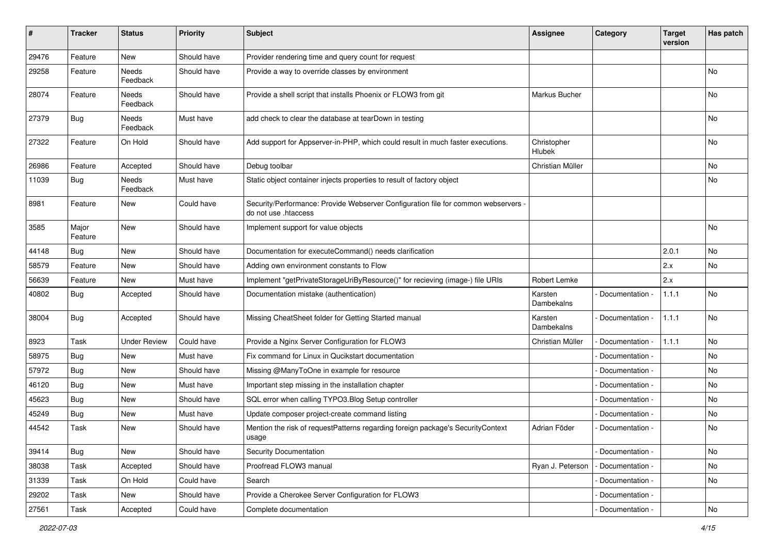| #     | <b>Tracker</b>   | <b>Status</b>       | <b>Priority</b> | <b>Subject</b>                                                                                             | <b>Assignee</b>       | Category        | <b>Target</b><br>version | Has patch |
|-------|------------------|---------------------|-----------------|------------------------------------------------------------------------------------------------------------|-----------------------|-----------------|--------------------------|-----------|
| 29476 | Feature          | <b>New</b>          | Should have     | Provider rendering time and query count for request                                                        |                       |                 |                          |           |
| 29258 | Feature          | Needs<br>Feedback   | Should have     | Provide a way to override classes by environment                                                           |                       |                 |                          | No        |
| 28074 | Feature          | Needs<br>Feedback   | Should have     | Provide a shell script that installs Phoenix or FLOW3 from git                                             | Markus Bucher         |                 |                          | No        |
| 27379 | Bug              | Needs<br>Feedback   | Must have       | add check to clear the database at tearDown in testing                                                     |                       |                 |                          | No        |
| 27322 | Feature          | On Hold             | Should have     | Add support for Appserver-in-PHP, which could result in much faster executions.                            | Christopher<br>Hlubek |                 |                          | No        |
| 26986 | Feature          | Accepted            | Should have     | Debug toolbar                                                                                              | Christian Müller      |                 |                          | No        |
| 11039 | Bug              | Needs<br>Feedback   | Must have       | Static object container injects properties to result of factory object                                     |                       |                 |                          | No        |
| 8981  | Feature          | New                 | Could have      | Security/Performance: Provide Webserver Configuration file for common webservers -<br>do not use .htaccess |                       |                 |                          |           |
| 3585  | Major<br>Feature | <b>New</b>          | Should have     | Implement support for value objects                                                                        |                       |                 |                          | No        |
| 44148 | Bug              | <b>New</b>          | Should have     | Documentation for executeCommand() needs clarification                                                     |                       |                 | 2.0.1                    | No.       |
| 58579 | Feature          | New                 | Should have     | Adding own environment constants to Flow                                                                   |                       |                 | 2.x                      | No        |
| 56639 | Feature          | New                 | Must have       | Implement "getPrivateStorageUriByResource()" for recieving (image-) file URIs                              | Robert Lemke          |                 | 2.x                      |           |
| 40802 | Bug              | Accepted            | Should have     | Documentation mistake (authentication)                                                                     | Karsten<br>Dambekalns | Documentation - | 1.1.1                    | No        |
| 38004 | Bug              | Accepted            | Should have     | Missing CheatSheet folder for Getting Started manual                                                       | Karsten<br>Dambekalns | Documentation - | 1.1.1                    | No        |
| 8923  | Task             | <b>Under Review</b> | Could have      | Provide a Nginx Server Configuration for FLOW3                                                             | Christian Müller      | Documentation - | 1.1.1                    | No        |
| 58975 | Bug              | New                 | Must have       | Fix command for Linux in Qucikstart documentation                                                          |                       | Documentation - |                          | No        |
| 57972 | Bug              | New                 | Should have     | Missing @ManyToOne in example for resource                                                                 |                       | Documentation - |                          | No        |
| 46120 | Bug              | New                 | Must have       | Important step missing in the installation chapter                                                         |                       | Documentation - |                          | No        |
| 45623 | Bug              | New                 | Should have     | SQL error when calling TYPO3.Blog Setup controller                                                         |                       | Documentation - |                          | No        |
| 45249 | Bug              | New                 | Must have       | Update composer project-create command listing                                                             |                       | Documentation - |                          | No        |
| 44542 | Task             | New                 | Should have     | Mention the risk of requestPatterns regarding foreign package's SecurityContext<br>usage                   | Adrian Föder          | Documentation - |                          | No        |
| 39414 | Bug              | New                 | Should have     | <b>Security Documentation</b>                                                                              |                       | Documentation - |                          | No        |
| 38038 | Task             | Accepted            | Should have     | Proofread FLOW3 manual                                                                                     | Ryan J. Peterson      | Documentation - |                          | No        |
| 31339 | Task             | On Hold             | Could have      | Search                                                                                                     |                       | Documentation - |                          | No        |
| 29202 | Task             | New                 | Should have     | Provide a Cherokee Server Configuration for FLOW3                                                          |                       | Documentation - |                          |           |
| 27561 | Task             | Accepted            | Could have      | Complete documentation                                                                                     |                       | Documentation - |                          | No        |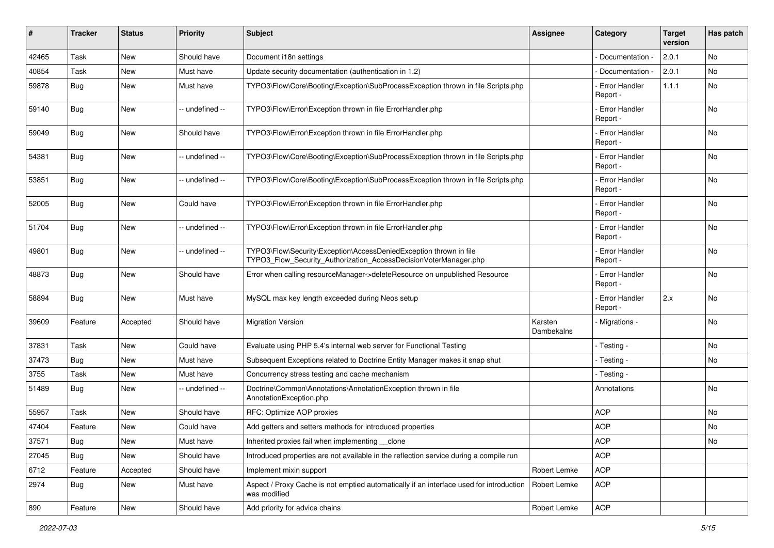| #     | <b>Tracker</b> | <b>Status</b> | <b>Priority</b> | <b>Subject</b>                                                                                                                         | <b>Assignee</b>       | Category                         | <b>Target</b><br>version | Has patch |
|-------|----------------|---------------|-----------------|----------------------------------------------------------------------------------------------------------------------------------------|-----------------------|----------------------------------|--------------------------|-----------|
| 42465 | Task           | New           | Should have     | Document i18n settings                                                                                                                 |                       | Documentation -                  | 2.0.1                    | No        |
| 40854 | Task           | New           | Must have       | Update security documentation (authentication in 1.2)                                                                                  |                       | Documentation -                  | 2.0.1                    | No.       |
| 59878 | Bug            | New           | Must have       | TYPO3\Flow\Core\Booting\Exception\SubProcessException thrown in file Scripts.php                                                       |                       | <b>Error Handler</b><br>Report - | 1.1.1                    | No        |
| 59140 | Bug            | New           | -- undefined -- | TYPO3\Flow\Error\Exception thrown in file ErrorHandler.php                                                                             |                       | <b>Error Handler</b><br>Report - |                          | No.       |
| 59049 | Bug            | <b>New</b>    | Should have     | TYPO3\Flow\Error\Exception thrown in file ErrorHandler.php                                                                             |                       | - Error Handler<br>Report -      |                          | <b>No</b> |
| 54381 | <b>Bug</b>     | <b>New</b>    | -- undefined -- | TYPO3\Flow\Core\Booting\Exception\SubProcessException thrown in file Scripts.php                                                       |                       | <b>Error Handler</b><br>Report - |                          | No.       |
| 53851 | Bug            | <b>New</b>    | -- undefined -- | TYPO3\Flow\Core\Booting\Exception\SubProcessException thrown in file Scripts.php                                                       |                       | <b>Error Handler</b><br>Report - |                          | No        |
| 52005 | Bug            | New           | Could have      | TYPO3\Flow\Error\Exception thrown in file ErrorHandler.php                                                                             |                       | <b>Error Handler</b><br>Report - |                          | No.       |
| 51704 | Bug            | New           | -- undefined -- | TYPO3\Flow\Error\Exception thrown in file ErrorHandler.php                                                                             |                       | <b>Error Handler</b><br>Report - |                          | No        |
| 49801 | Bug            | <b>New</b>    | -- undefined -- | TYPO3\Flow\Security\Exception\AccessDeniedException thrown in file<br>TYPO3_Flow_Security_Authorization_AccessDecisionVoterManager.php |                       | - Error Handler<br>Report -      |                          | <b>No</b> |
| 48873 | Bug            | New           | Should have     | Error when calling resourceManager->deleteResource on unpublished Resource                                                             |                       | <b>Error Handler</b><br>Report - |                          | No        |
| 58894 | Bug            | New           | Must have       | MySQL max key length exceeded during Neos setup                                                                                        |                       | - Error Handler<br>Report -      | 2.x                      | No        |
| 39609 | Feature        | Accepted      | Should have     | <b>Migration Version</b>                                                                                                               | Karsten<br>Dambekalns | - Migrations -                   |                          | <b>No</b> |
| 37831 | Task           | <b>New</b>    | Could have      | Evaluate using PHP 5.4's internal web server for Functional Testing                                                                    |                       | - Testing -                      |                          | <b>No</b> |
| 37473 | Bug            | New           | Must have       | Subsequent Exceptions related to Doctrine Entity Manager makes it snap shut                                                            |                       | - Testing -                      |                          | No        |
| 3755  | Task           | New           | Must have       | Concurrency stress testing and cache mechanism                                                                                         |                       | - Testing -                      |                          |           |
| 51489 | Bug            | New           | -- undefined -- | Doctrine\Common\Annotations\AnnotationException thrown in file<br>AnnotationException.php                                              |                       | Annotations                      |                          | No        |
| 55957 | Task           | New           | Should have     | RFC: Optimize AOP proxies                                                                                                              |                       | <b>AOP</b>                       |                          | No        |
| 47404 | Feature        | <b>New</b>    | Could have      | Add getters and setters methods for introduced properties                                                                              |                       | <b>AOP</b>                       |                          | No.       |
| 37571 | Bug            | New           | Must have       | Inherited proxies fail when implementing __clone                                                                                       |                       | <b>AOP</b>                       |                          | No        |
| 27045 | Bug            | New           | Should have     | Introduced properties are not available in the reflection service during a compile run                                                 |                       | <b>AOP</b>                       |                          |           |
| 6712  | Feature        | Accepted      | Should have     | Implement mixin support                                                                                                                | Robert Lemke          | <b>AOP</b>                       |                          |           |
| 2974  | Bug            | New           | Must have       | Aspect / Proxy Cache is not emptied automatically if an interface used for introduction<br>was modified                                | Robert Lemke          | AOP                              |                          |           |
| 890   | Feature        | New           | Should have     | Add priority for advice chains                                                                                                         | Robert Lemke          | AOP                              |                          |           |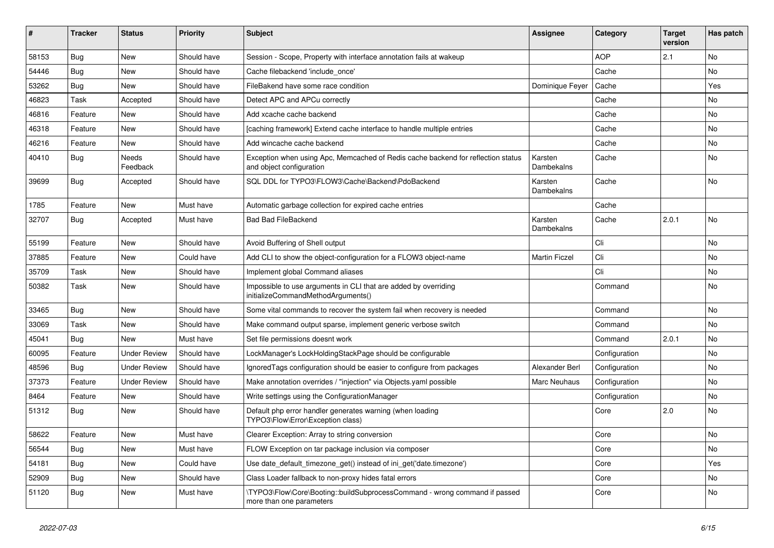| ∦     | <b>Tracker</b> | <b>Status</b>            | <b>Priority</b> | <b>Subject</b>                                                                                               | <b>Assignee</b>       | Category      | <b>Target</b><br>version | Has patch |
|-------|----------------|--------------------------|-----------------|--------------------------------------------------------------------------------------------------------------|-----------------------|---------------|--------------------------|-----------|
| 58153 | Bug            | New                      | Should have     | Session - Scope, Property with interface annotation fails at wakeup                                          |                       | <b>AOP</b>    | 2.1                      | <b>No</b> |
| 54446 | <b>Bug</b>     | <b>New</b>               | Should have     | Cache filebackend 'include_once'                                                                             |                       | Cache         |                          | No.       |
| 53262 | Bug            | New                      | Should have     | FileBakend have some race condition                                                                          | Dominique Feyer       | Cache         |                          | Yes       |
| 46823 | Task           | Accepted                 | Should have     | Detect APC and APCu correctly                                                                                |                       | Cache         |                          | No        |
| 46816 | Feature        | New                      | Should have     | Add xcache cache backend                                                                                     |                       | Cache         |                          | No        |
| 46318 | Feature        | <b>New</b>               | Should have     | [caching framework] Extend cache interface to handle multiple entries                                        |                       | Cache         |                          | <b>No</b> |
| 46216 | Feature        | New                      | Should have     | Add wincache cache backend                                                                                   |                       | Cache         |                          | No        |
| 40410 | <b>Bug</b>     | <b>Needs</b><br>Feedback | Should have     | Exception when using Apc, Memcached of Redis cache backend for reflection status<br>and object configuration | Karsten<br>Dambekalns | Cache         |                          | No        |
| 39699 | Bug            | Accepted                 | Should have     | SQL DDL for TYPO3\FLOW3\Cache\Backend\PdoBackend                                                             | Karsten<br>Dambekalns | Cache         |                          | <b>No</b> |
| 1785  | Feature        | <b>New</b>               | Must have       | Automatic garbage collection for expired cache entries                                                       |                       | Cache         |                          |           |
| 32707 | Bug            | Accepted                 | Must have       | <b>Bad Bad FileBackend</b>                                                                                   | Karsten<br>Dambekalns | Cache         | 2.0.1                    | <b>No</b> |
| 55199 | Feature        | New                      | Should have     | Avoid Buffering of Shell output                                                                              |                       | Cli           |                          | No        |
| 37885 | Feature        | New                      | Could have      | Add CLI to show the object-configuration for a FLOW3 object-name                                             | <b>Martin Ficzel</b>  | Cli           |                          | No        |
| 35709 | Task           | New                      | Should have     | Implement global Command aliases                                                                             |                       | Cli           |                          | No        |
| 50382 | Task           | <b>New</b>               | Should have     | Impossible to use arguments in CLI that are added by overriding<br>initializeCommandMethodArguments()        |                       | Command       |                          | No        |
| 33465 | Bug            | <b>New</b>               | Should have     | Some vital commands to recover the system fail when recovery is needed                                       |                       | Command       |                          | <b>No</b> |
| 33069 | Task           | New                      | Should have     | Make command output sparse, implement generic verbose switch                                                 |                       | Command       |                          | No        |
| 45041 | Bug            | <b>New</b>               | Must have       | Set file permissions doesnt work                                                                             |                       | Command       | 2.0.1                    | <b>No</b> |
| 60095 | Feature        | <b>Under Review</b>      | Should have     | LockManager's LockHoldingStackPage should be configurable                                                    |                       | Configuration |                          | No        |
| 48596 | Bug            | <b>Under Review</b>      | Should have     | Ignored Tags configuration should be easier to configure from packages                                       | Alexander Berl        | Configuration |                          | No        |
| 37373 | Feature        | <b>Under Review</b>      | Should have     | Make annotation overrides / "injection" via Objects.yaml possible                                            | <b>Marc Neuhaus</b>   | Configuration |                          | No        |
| 8464  | Feature        | <b>New</b>               | Should have     | Write settings using the ConfigurationManager                                                                |                       | Configuration |                          | No        |
| 51312 | <b>Bug</b>     | New                      | Should have     | Default php error handler generates warning (when loading<br>TYPO3\Flow\Error\Exception class)               |                       | Core          | 2.0                      | No        |
| 58622 | Feature        | New                      | Must have       | Clearer Exception: Array to string conversion                                                                |                       | Core          |                          | No        |
| 56544 | <b>Bug</b>     | New                      | Must have       | FLOW Exception on tar package inclusion via composer                                                         |                       | Core          |                          | No        |
| 54181 | <b>Bug</b>     | New                      | Could have      | Use date default timezone get() instead of ini get('date.timezone')                                          |                       | Core          |                          | Yes       |
| 52909 | Bug            | New                      | Should have     | Class Loader fallback to non-proxy hides fatal errors                                                        |                       | Core          |                          | No        |
| 51120 | <b>Bug</b>     | New                      | Must have       | \TYPO3\Flow\Core\Booting::buildSubprocessCommand - wrong command if passed<br>more than one parameters       |                       | Core          |                          | No        |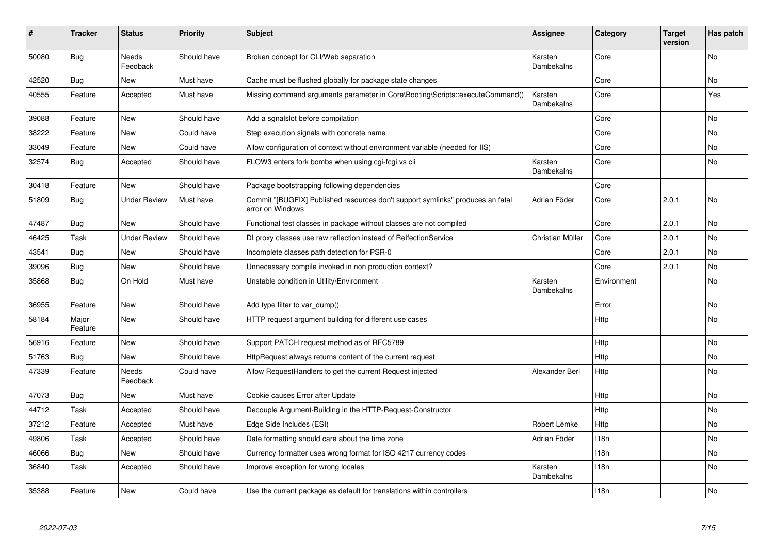| ∦     | <b>Tracker</b>   | <b>Status</b>            | <b>Priority</b> | <b>Subject</b>                                                                                     | <b>Assignee</b>       | Category         | <b>Target</b><br>version | Has patch |
|-------|------------------|--------------------------|-----------------|----------------------------------------------------------------------------------------------------|-----------------------|------------------|--------------------------|-----------|
| 50080 | Bug              | <b>Needs</b><br>Feedback | Should have     | Broken concept for CLI/Web separation                                                              | Karsten<br>Dambekalns | Core             |                          | <b>No</b> |
| 42520 | Bug              | <b>New</b>               | Must have       | Cache must be flushed globally for package state changes                                           |                       | Core             |                          | <b>No</b> |
| 40555 | Feature          | Accepted                 | Must have       | Missing command arguments parameter in Core\Booting\Scripts::executeCommand()                      | Karsten<br>Dambekalns | Core             |                          | Yes       |
| 39088 | Feature          | <b>New</b>               | Should have     | Add a sgnalslot before compilation                                                                 |                       | Core             |                          | <b>No</b> |
| 38222 | Feature          | <b>New</b>               | Could have      | Step execution signals with concrete name                                                          |                       | Core             |                          | <b>No</b> |
| 33049 | Feature          | New                      | Could have      | Allow configuration of context without environment variable (needed for IIS)                       |                       | Core             |                          | No        |
| 32574 | Bug              | Accepted                 | Should have     | FLOW3 enters fork bombs when using cgi-fcgi vs cli                                                 | Karsten<br>Dambekalns | Core             |                          | No        |
| 30418 | Feature          | New                      | Should have     | Package bootstrapping following dependencies                                                       |                       | Core             |                          |           |
| 51809 | Bug              | <b>Under Review</b>      | Must have       | Commit "[BUGFIX] Published resources don't support symlinks" produces an fatal<br>error on Windows | Adrian Föder          | Core             | 2.0.1                    | No        |
| 47487 | <b>Bug</b>       | New                      | Should have     | Functional test classes in package without classes are not compiled                                |                       | Core             | 2.0.1                    | No        |
| 46425 | Task             | <b>Under Review</b>      | Should have     | DI proxy classes use raw reflection instead of RelfectionService                                   | Christian Müller      | Core             | 2.0.1                    | No        |
| 43541 | <b>Bug</b>       | <b>New</b>               | Should have     | Incomplete classes path detection for PSR-0                                                        |                       | Core             | 2.0.1                    | <b>No</b> |
| 39096 | Bug              | <b>New</b>               | Should have     | Unnecessary compile invoked in non production context?                                             |                       | Core             | 2.0.1                    | No        |
| 35868 | Bug              | On Hold                  | Must have       | Unstable condition in Utility\Environment                                                          | Karsten<br>Dambekalns | Environment      |                          | No        |
| 36955 | Feature          | <b>New</b>               | Should have     | Add type filter to var dump()                                                                      |                       | Error            |                          | <b>No</b> |
| 58184 | Major<br>Feature | <b>New</b>               | Should have     | HTTP request argument building for different use cases                                             |                       | Http             |                          | <b>No</b> |
| 56916 | Feature          | New                      | Should have     | Support PATCH request method as of RFC5789                                                         |                       | Http             |                          | <b>No</b> |
| 51763 | Bug              | <b>New</b>               | Should have     | HttpRequest always returns content of the current request                                          |                       | Http             |                          | <b>No</b> |
| 47339 | Feature          | <b>Needs</b><br>Feedback | Could have      | Allow RequestHandlers to get the current Request injected                                          | Alexander Berl        | Http             |                          | <b>No</b> |
| 47073 | <b>Bug</b>       | <b>New</b>               | Must have       | Cookie causes Error after Update                                                                   |                       | Http             |                          | <b>No</b> |
| 44712 | Task             | Accepted                 | Should have     | Decouple Argument-Building in the HTTP-Request-Constructor                                         |                       | Http             |                          | <b>No</b> |
| 37212 | Feature          | Accepted                 | Must have       | Edge Side Includes (ESI)                                                                           | Robert Lemke          | Http             |                          | No        |
| 49806 | Task             | Accepted                 | Should have     | Date formatting should care about the time zone                                                    | Adrian Föder          | 118n             |                          | No        |
| 46066 | <b>Bug</b>       | New                      | Should have     | Currency formatter uses wrong format for ISO 4217 currency codes                                   |                       | 118n             |                          | No        |
| 36840 | Task             | Accepted                 | Should have     | Improve exception for wrong locales                                                                | Karsten<br>Dambekalns | 118n             |                          | No        |
| 35388 | Feature          | <b>New</b>               | Could have      | Use the current package as default for translations within controllers                             |                       | 118 <sub>n</sub> |                          | <b>No</b> |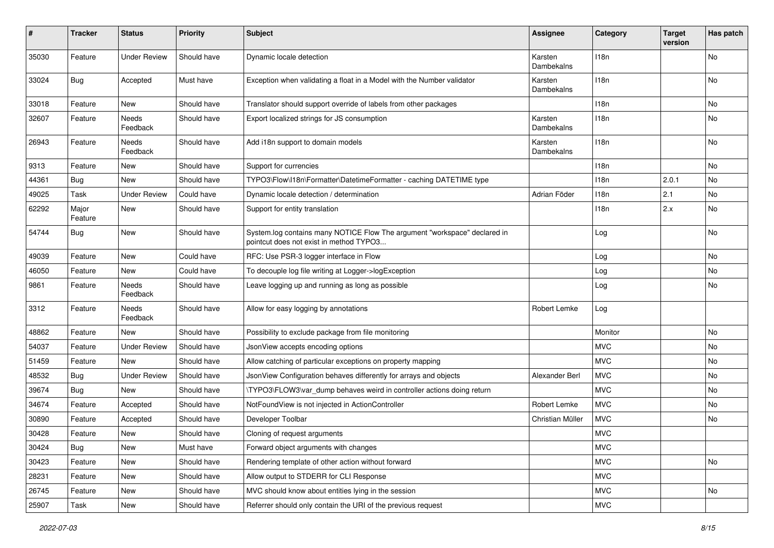| #     | <b>Tracker</b>   | <b>Status</b>       | <b>Priority</b> | Subject                                                                                                              | <b>Assignee</b>       | Category         | <b>Target</b><br>version | Has patch |
|-------|------------------|---------------------|-----------------|----------------------------------------------------------------------------------------------------------------------|-----------------------|------------------|--------------------------|-----------|
| 35030 | Feature          | <b>Under Review</b> | Should have     | Dynamic locale detection                                                                                             | Karsten<br>Dambekalns | 118n             |                          | No        |
| 33024 | <b>Bug</b>       | Accepted            | Must have       | Exception when validating a float in a Model with the Number validator                                               | Karsten<br>Dambekalns | 118n             |                          | <b>No</b> |
| 33018 | Feature          | <b>New</b>          | Should have     | Translator should support override of labels from other packages                                                     |                       | 118 <sub>n</sub> |                          | <b>No</b> |
| 32607 | Feature          | Needs<br>Feedback   | Should have     | Export localized strings for JS consumption                                                                          | Karsten<br>Dambekalns | 118n             |                          | No        |
| 26943 | Feature          | Needs<br>Feedback   | Should have     | Add i18n support to domain models                                                                                    | Karsten<br>Dambekalns | 118n             |                          | No        |
| 9313  | Feature          | New                 | Should have     | Support for currencies                                                                                               |                       | 118n             |                          | No        |
| 44361 | <b>Bug</b>       | New                 | Should have     | TYPO3\Flow\I18n\Formatter\DatetimeFormatter - caching DATETIME type                                                  |                       | 118n             | 2.0.1                    | No        |
| 49025 | Task             | <b>Under Review</b> | Could have      | Dynamic locale detection / determination                                                                             | Adrian Föder          | 118n             | 2.1                      | No        |
| 62292 | Major<br>Feature | New                 | Should have     | Support for entity translation                                                                                       |                       | 118n             | 2.x                      | No        |
| 54744 | <b>Bug</b>       | New                 | Should have     | System.log contains many NOTICE Flow The argument "workspace" declared in<br>pointcut does not exist in method TYPO3 |                       | Log              |                          | No        |
| 49039 | Feature          | New                 | Could have      | RFC: Use PSR-3 logger interface in Flow                                                                              |                       | Log              |                          | No        |
| 46050 | Feature          | New                 | Could have      | To decouple log file writing at Logger->logException                                                                 |                       | Log              |                          | No        |
| 9861  | Feature          | Needs<br>Feedback   | Should have     | Leave logging up and running as long as possible                                                                     |                       | Log              |                          | No        |
| 3312  | Feature          | Needs<br>Feedback   | Should have     | Allow for easy logging by annotations                                                                                | Robert Lemke          | Log              |                          |           |
| 48862 | Feature          | New                 | Should have     | Possibility to exclude package from file monitoring                                                                  |                       | Monitor          |                          | No        |
| 54037 | Feature          | <b>Under Review</b> | Should have     | JsonView accepts encoding options                                                                                    |                       | <b>MVC</b>       |                          | No        |
| 51459 | Feature          | New                 | Should have     | Allow catching of particular exceptions on property mapping                                                          |                       | <b>MVC</b>       |                          | No        |
| 48532 | <b>Bug</b>       | <b>Under Review</b> | Should have     | JsonView Configuration behaves differently for arrays and objects                                                    | Alexander Berl        | <b>MVC</b>       |                          | No        |
| 39674 | <b>Bug</b>       | New                 | Should have     | \TYPO3\FLOW3\var dump behaves weird in controller actions doing return                                               |                       | <b>MVC</b>       |                          | No        |
| 34674 | Feature          | Accepted            | Should have     | NotFoundView is not injected in ActionController                                                                     | Robert Lemke          | <b>MVC</b>       |                          | No        |
| 30890 | Feature          | Accepted            | Should have     | Developer Toolbar                                                                                                    | Christian Müller      | <b>MVC</b>       |                          | No        |
| 30428 | Feature          | New                 | Should have     | Cloning of request arguments                                                                                         |                       | <b>MVC</b>       |                          |           |
| 30424 | <b>Bug</b>       | New                 | Must have       | Forward object arguments with changes                                                                                |                       | <b>MVC</b>       |                          |           |
| 30423 | Feature          | New                 | Should have     | Rendering template of other action without forward                                                                   |                       | <b>MVC</b>       |                          | No        |
| 28231 | Feature          | New                 | Should have     | Allow output to STDERR for CLI Response                                                                              |                       | <b>MVC</b>       |                          |           |
| 26745 | Feature          | New                 | Should have     | MVC should know about entities lying in the session                                                                  |                       | MVC              |                          | No        |
| 25907 | Task             | New                 | Should have     | Referrer should only contain the URI of the previous request                                                         |                       | <b>MVC</b>       |                          |           |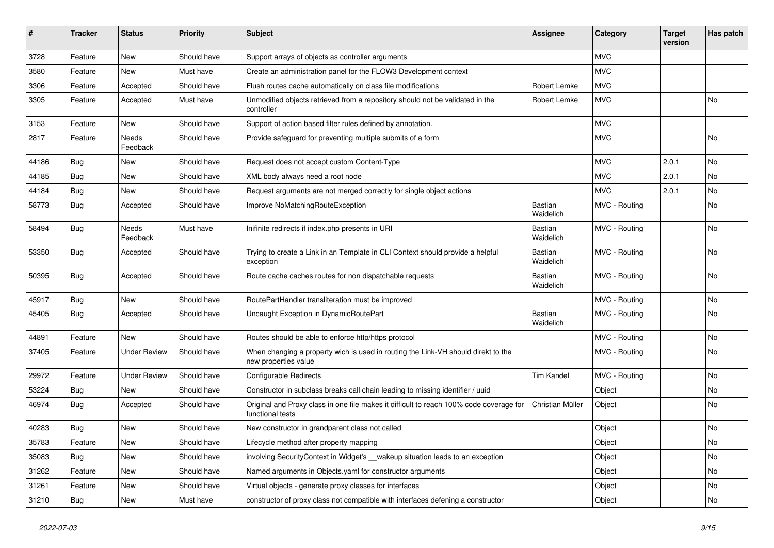| ∦     | <b>Tracker</b> | <b>Status</b>            | <b>Priority</b> | <b>Subject</b>                                                                                              | Assignee             | Category      | <b>Target</b><br>version | Has patch |
|-------|----------------|--------------------------|-----------------|-------------------------------------------------------------------------------------------------------------|----------------------|---------------|--------------------------|-----------|
| 3728  | Feature        | <b>New</b>               | Should have     | Support arrays of objects as controller arguments                                                           |                      | <b>MVC</b>    |                          |           |
| 3580  | Feature        | New                      | Must have       | Create an administration panel for the FLOW3 Development context                                            |                      | <b>MVC</b>    |                          |           |
| 3306  | Feature        | Accepted                 | Should have     | Flush routes cache automatically on class file modifications                                                | Robert Lemke         | <b>MVC</b>    |                          |           |
| 3305  | Feature        | Accepted                 | Must have       | Unmodified objects retrieved from a repository should not be validated in the<br>controller                 | Robert Lemke         | <b>MVC</b>    |                          | <b>No</b> |
| 3153  | Feature        | <b>New</b>               | Should have     | Support of action based filter rules defined by annotation.                                                 |                      | <b>MVC</b>    |                          |           |
| 2817  | Feature        | Needs<br>Feedback        | Should have     | Provide safeguard for preventing multiple submits of a form                                                 |                      | <b>MVC</b>    |                          | No        |
| 44186 | Bug            | <b>New</b>               | Should have     | Request does not accept custom Content-Type                                                                 |                      | <b>MVC</b>    | 2.0.1                    | No        |
| 44185 | <b>Bug</b>     | <b>New</b>               | Should have     | XML body always need a root node                                                                            |                      | <b>MVC</b>    | 2.0.1                    | <b>No</b> |
| 44184 | Bug            | <b>New</b>               | Should have     | Request arguments are not merged correctly for single object actions                                        |                      | <b>MVC</b>    | 2.0.1                    | <b>No</b> |
| 58773 | <b>Bug</b>     | Accepted                 | Should have     | Improve NoMatchingRouteException                                                                            | Bastian<br>Waidelich | MVC - Routing |                          | <b>No</b> |
| 58494 | <b>Bug</b>     | <b>Needs</b><br>Feedback | Must have       | Inifinite redirects if index.php presents in URI                                                            | Bastian<br>Waidelich | MVC - Routing |                          | <b>No</b> |
| 53350 | Bug            | Accepted                 | Should have     | Trying to create a Link in an Template in CLI Context should provide a helpful<br>exception                 | Bastian<br>Waidelich | MVC - Routing |                          | No        |
| 50395 | <b>Bug</b>     | Accepted                 | Should have     | Route cache caches routes for non dispatchable requests                                                     | Bastian<br>Waidelich | MVC - Routing |                          | <b>No</b> |
| 45917 | <b>Bug</b>     | <b>New</b>               | Should have     | RoutePartHandler transliteration must be improved                                                           |                      | MVC - Routing |                          | No        |
| 45405 | <b>Bug</b>     | Accepted                 | Should have     | Uncaught Exception in DynamicRoutePart                                                                      | Bastian<br>Waidelich | MVC - Routing |                          | No        |
| 44891 | Feature        | <b>New</b>               | Should have     | Routes should be able to enforce http/https protocol                                                        |                      | MVC - Routing |                          | <b>No</b> |
| 37405 | Feature        | <b>Under Review</b>      | Should have     | When changing a property wich is used in routing the Link-VH should direkt to the<br>new properties value   |                      | MVC - Routing |                          | No        |
| 29972 | Feature        | <b>Under Review</b>      | Should have     | Configurable Redirects                                                                                      | Tim Kandel           | MVC - Routing |                          | <b>No</b> |
| 53224 | <b>Bug</b>     | <b>New</b>               | Should have     | Constructor in subclass breaks call chain leading to missing identifier / uuid                              |                      | Object        |                          | <b>No</b> |
| 46974 | Bug            | Accepted                 | Should have     | Original and Proxy class in one file makes it difficult to reach 100% code coverage for<br>functional tests | Christian Müller     | Object        |                          | <b>No</b> |
| 40283 | Bug            | <b>New</b>               | Should have     | New constructor in grandparent class not called                                                             |                      | Object        |                          | No        |
| 35783 | Feature        | New                      | Should have     | Lifecycle method after property mapping                                                                     |                      | Object        |                          | No        |
| 35083 | <b>Bug</b>     | <b>New</b>               | Should have     | involving SecurityContext in Widget's __wakeup situation leads to an exception                              |                      | Object        |                          | No        |
| 31262 | Feature        | <b>New</b>               | Should have     | Named arguments in Objects yaml for constructor arguments                                                   |                      | Object        |                          | No        |
| 31261 | Feature        | <b>New</b>               | Should have     | Virtual objects - generate proxy classes for interfaces                                                     |                      | Object        |                          | No        |
| 31210 | <b>Bug</b>     | <b>New</b>               | Must have       | constructor of proxy class not compatible with interfaces defening a constructor                            |                      | Object        |                          | No        |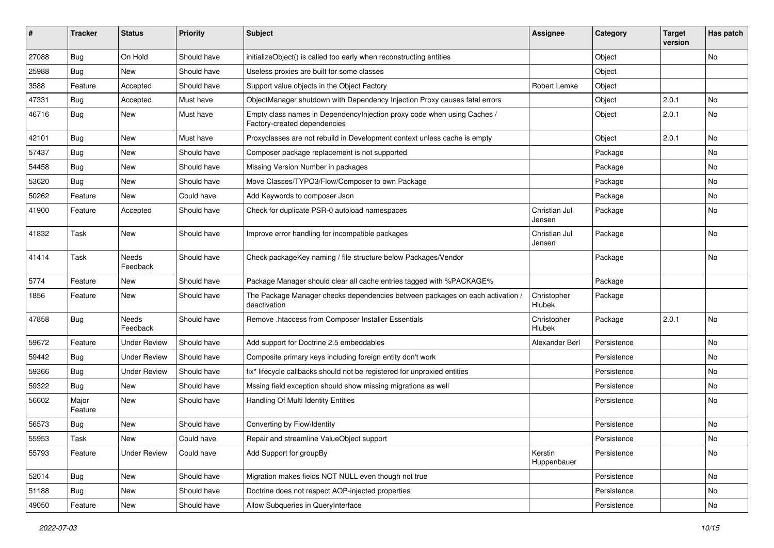| ∦     | <b>Tracker</b>   | <b>Status</b>       | <b>Priority</b> | <b>Subject</b>                                                                                          | <b>Assignee</b>         | Category    | <b>Target</b><br>version | Has patch |
|-------|------------------|---------------------|-----------------|---------------------------------------------------------------------------------------------------------|-------------------------|-------------|--------------------------|-----------|
| 27088 | Bug              | On Hold             | Should have     | initializeObject() is called too early when reconstructing entities                                     |                         | Object      |                          | No        |
| 25988 | <b>Bug</b>       | New                 | Should have     | Useless proxies are built for some classes                                                              |                         | Object      |                          |           |
| 3588  | Feature          | Accepted            | Should have     | Support value objects in the Object Factory                                                             | Robert Lemke            | Object      |                          |           |
| 47331 | Bug              | Accepted            | Must have       | ObjectManager shutdown with Dependency Injection Proxy causes fatal errors                              |                         | Object      | 2.0.1                    | <b>No</b> |
| 46716 | <b>Bug</b>       | New                 | Must have       | Empty class names in Dependencylnjection proxy code when using Caches /<br>Factory-created dependencies |                         | Object      | 2.0.1                    | No        |
| 42101 | <b>Bug</b>       | New                 | Must have       | Proxyclasses are not rebuild in Development context unless cache is empty                               |                         | Object      | 2.0.1                    | No        |
| 57437 | <b>Bug</b>       | New                 | Should have     | Composer package replacement is not supported                                                           |                         | Package     |                          | No        |
| 54458 | Bug              | New                 | Should have     | Missing Version Number in packages                                                                      |                         | Package     |                          | No        |
| 53620 | <b>Bug</b>       | New                 | Should have     | Move Classes/TYPO3/Flow/Composer to own Package                                                         |                         | Package     |                          | No        |
| 50262 | Feature          | New                 | Could have      | Add Keywords to composer Json                                                                           |                         | Package     |                          | No        |
| 41900 | Feature          | Accepted            | Should have     | Check for duplicate PSR-0 autoload namespaces                                                           | Christian Jul<br>Jensen | Package     |                          | No        |
| 41832 | Task             | New                 | Should have     | Improve error handling for incompatible packages                                                        | Christian Jul<br>Jensen | Package     |                          | No        |
| 41414 | Task             | Needs<br>Feedback   | Should have     | Check packageKey naming / file structure below Packages/Vendor                                          |                         | Package     |                          | No        |
| 5774  | Feature          | New                 | Should have     | Package Manager should clear all cache entries tagged with %PACKAGE%                                    |                         | Package     |                          |           |
| 1856  | Feature          | New                 | Should have     | The Package Manager checks dependencies between packages on each activation /<br>deactivation           | Christopher<br>Hlubek   | Package     |                          |           |
| 47858 | <b>Bug</b>       | Needs<br>Feedback   | Should have     | Remove .htaccess from Composer Installer Essentials                                                     | Christopher<br>Hlubek   | Package     | 2.0.1                    | No        |
| 59672 | Feature          | <b>Under Review</b> | Should have     | Add support for Doctrine 2.5 embeddables                                                                | Alexander Berl          | Persistence |                          | No        |
| 59442 | <b>Bug</b>       | <b>Under Review</b> | Should have     | Composite primary keys including foreign entity don't work                                              |                         | Persistence |                          | No        |
| 59366 | <b>Bug</b>       | <b>Under Review</b> | Should have     | fix* lifecycle callbacks should not be registered for unproxied entities                                |                         | Persistence |                          | No        |
| 59322 | <b>Bug</b>       | New                 | Should have     | Mssing field exception should show missing migrations as well                                           |                         | Persistence |                          | No        |
| 56602 | Major<br>Feature | New                 | Should have     | Handling Of Multi Identity Entities                                                                     |                         | Persistence |                          | No        |
| 56573 | <b>Bug</b>       | New                 | Should have     | Converting by Flow\Identity                                                                             |                         | Persistence |                          | No        |
| 55953 | Task             | New                 | Could have      | Repair and streamline ValueObject support                                                               |                         | Persistence |                          | No        |
| 55793 | Feature          | <b>Under Review</b> | Could have      | Add Support for groupBy                                                                                 | Kerstin<br>Huppenbauer  | Persistence |                          | No        |
| 52014 | Bug              | New                 | Should have     | Migration makes fields NOT NULL even though not true                                                    |                         | Persistence |                          | No        |
| 51188 | Bug              | New                 | Should have     | Doctrine does not respect AOP-injected properties                                                       |                         | Persistence |                          | No        |
| 49050 | Feature          | New                 | Should have     | Allow Subqueries in QueryInterface                                                                      |                         | Persistence |                          | No        |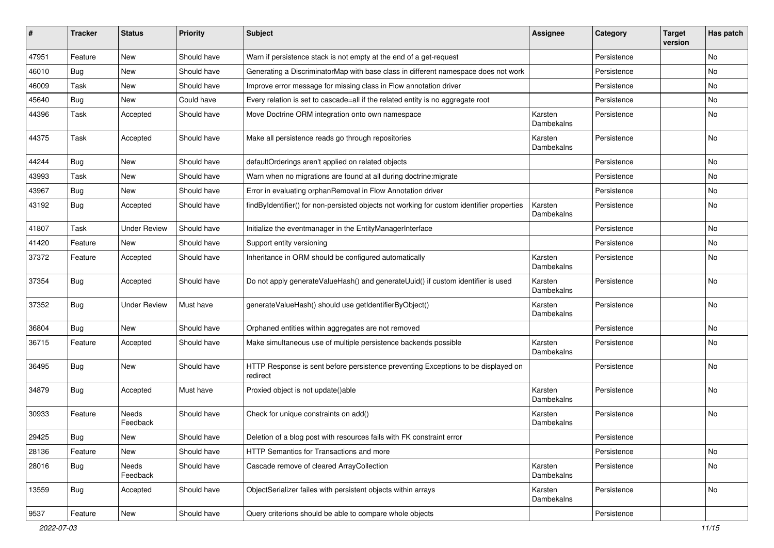| #     | <b>Tracker</b> | <b>Status</b>       | <b>Priority</b> | Subject                                                                                       | <b>Assignee</b>       | Category    | <b>Target</b><br>version | Has patch |
|-------|----------------|---------------------|-----------------|-----------------------------------------------------------------------------------------------|-----------------------|-------------|--------------------------|-----------|
| 47951 | Feature        | <b>New</b>          | Should have     | Warn if persistence stack is not empty at the end of a get-request                            |                       | Persistence |                          | No        |
| 46010 | <b>Bug</b>     | New                 | Should have     | Generating a DiscriminatorMap with base class in different namespace does not work            |                       | Persistence |                          | No        |
| 46009 | Task           | New                 | Should have     | Improve error message for missing class in Flow annotation driver                             |                       | Persistence |                          | No        |
| 45640 | <b>Bug</b>     | New                 | Could have      | Every relation is set to cascade=all if the related entity is no aggregate root               |                       | Persistence |                          | No        |
| 44396 | Task           | Accepted            | Should have     | Move Doctrine ORM integration onto own namespace                                              | Karsten<br>Dambekalns | Persistence |                          | No        |
| 44375 | Task           | Accepted            | Should have     | Make all persistence reads go through repositories                                            | Karsten<br>Dambekalns | Persistence |                          | No        |
| 44244 | <b>Bug</b>     | <b>New</b>          | Should have     | defaultOrderings aren't applied on related objects                                            |                       | Persistence |                          | No        |
| 43993 | Task           | New                 | Should have     | Warn when no migrations are found at all during doctrine: migrate                             |                       | Persistence |                          | No        |
| 43967 | <b>Bug</b>     | New                 | Should have     | Error in evaluating orphanRemoval in Flow Annotation driver                                   |                       | Persistence |                          | No        |
| 43192 | <b>Bug</b>     | Accepted            | Should have     | findByIdentifier() for non-persisted objects not working for custom identifier properties     | Karsten<br>Dambekalns | Persistence |                          | No        |
| 41807 | Task           | <b>Under Review</b> | Should have     | Initialize the eventmanager in the EntityManagerInterface                                     |                       | Persistence |                          | <b>No</b> |
| 41420 | Feature        | New                 | Should have     | Support entity versioning                                                                     |                       | Persistence |                          | No        |
| 37372 | Feature        | Accepted            | Should have     | Inheritance in ORM should be configured automatically                                         | Karsten<br>Dambekalns | Persistence |                          | No        |
| 37354 | Bug            | Accepted            | Should have     | Do not apply generateValueHash() and generateUuid() if custom identifier is used              | Karsten<br>Dambekalns | Persistence |                          | <b>No</b> |
| 37352 | <b>Bug</b>     | Under Review        | Must have       | generateValueHash() should use getIdentifierByObject()                                        | Karsten<br>Dambekalns | Persistence |                          | No        |
| 36804 | <b>Bug</b>     | New                 | Should have     | Orphaned entities within aggregates are not removed                                           |                       | Persistence |                          | No        |
| 36715 | Feature        | Accepted            | Should have     | Make simultaneous use of multiple persistence backends possible                               | Karsten<br>Dambekalns | Persistence |                          | No        |
| 36495 | Bug            | New                 | Should have     | HTTP Response is sent before persistence preventing Exceptions to be displayed on<br>redirect |                       | Persistence |                          | No        |
| 34879 | Bug            | Accepted            | Must have       | Proxied object is not update()able                                                            | Karsten<br>Dambekalns | Persistence |                          | No        |
| 30933 | Feature        | Needs<br>Feedback   | Should have     | Check for unique constraints on add()                                                         | Karsten<br>Dambekalns | Persistence |                          | <b>No</b> |
| 29425 | <b>Bug</b>     | New                 | Should have     | Deletion of a blog post with resources fails with FK constraint error                         |                       | Persistence |                          |           |
| 28136 | Feature        | New                 | Should have     | HTTP Semantics for Transactions and more                                                      |                       | Persistence |                          | No        |
| 28016 | <b>Bug</b>     | Needs<br>Feedback   | Should have     | Cascade remove of cleared ArrayCollection                                                     | Karsten<br>Dambekalns | Persistence |                          | No        |
| 13559 | Bug            | Accepted            | Should have     | ObjectSerializer failes with persistent objects within arrays                                 | Karsten<br>Dambekalns | Persistence |                          | No        |
| 9537  | Feature        | New                 | Should have     | Query criterions should be able to compare whole objects                                      |                       | Persistence |                          |           |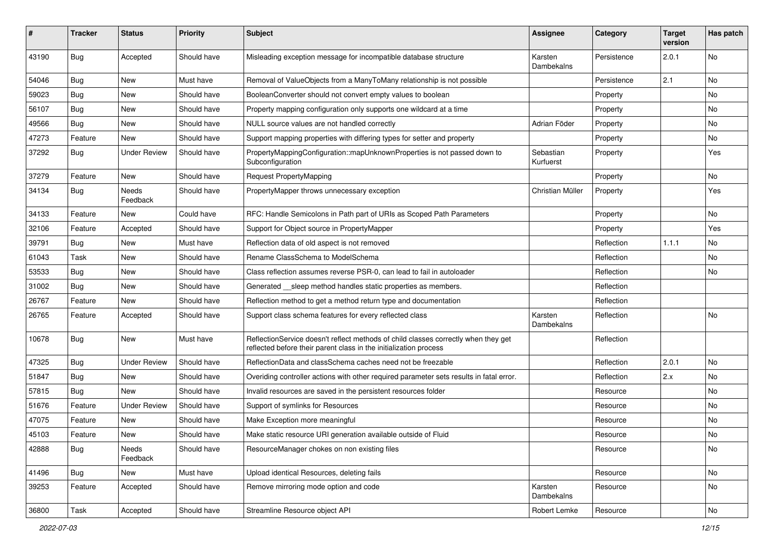| #     | <b>Tracker</b> | <b>Status</b>       | <b>Priority</b> | Subject                                                                                                                                                 | <b>Assignee</b>        | Category    | <b>Target</b><br>version | Has patch |
|-------|----------------|---------------------|-----------------|---------------------------------------------------------------------------------------------------------------------------------------------------------|------------------------|-------------|--------------------------|-----------|
| 43190 | <b>Bug</b>     | Accepted            | Should have     | Misleading exception message for incompatible database structure                                                                                        | Karsten<br>Dambekalns  | Persistence | 2.0.1                    | No        |
| 54046 | <b>Bug</b>     | New                 | Must have       | Removal of ValueObjects from a ManyToMany relationship is not possible                                                                                  |                        | Persistence | 2.1                      | No        |
| 59023 | <b>Bug</b>     | <b>New</b>          | Should have     | BooleanConverter should not convert empty values to boolean                                                                                             |                        | Property    |                          | No        |
| 56107 | <b>Bug</b>     | New                 | Should have     | Property mapping configuration only supports one wildcard at a time                                                                                     |                        | Property    |                          | No        |
| 49566 | <b>Bug</b>     | New                 | Should have     | NULL source values are not handled correctly                                                                                                            | Adrian Föder           | Property    |                          | <b>No</b> |
| 47273 | Feature        | New                 | Should have     | Support mapping properties with differing types for setter and property                                                                                 |                        | Property    |                          | No        |
| 37292 | <b>Bug</b>     | <b>Under Review</b> | Should have     | PropertyMappingConfiguration::mapUnknownProperties is not passed down to<br>Subconfiguration                                                            | Sebastian<br>Kurfuerst | Property    |                          | Yes       |
| 37279 | Feature        | <b>New</b>          | Should have     | <b>Request PropertyMapping</b>                                                                                                                          |                        | Property    |                          | No.       |
| 34134 | Bug            | Needs<br>Feedback   | Should have     | PropertyMapper throws unnecessary exception                                                                                                             | Christian Müller       | Property    |                          | Yes       |
| 34133 | Feature        | New                 | Could have      | RFC: Handle Semicolons in Path part of URIs as Scoped Path Parameters                                                                                   |                        | Property    |                          | <b>No</b> |
| 32106 | Feature        | Accepted            | Should have     | Support for Object source in PropertyMapper                                                                                                             |                        | Property    |                          | Yes       |
| 39791 | <b>Bug</b>     | New                 | Must have       | Reflection data of old aspect is not removed                                                                                                            |                        | Reflection  | 1.1.1                    | No        |
| 61043 | Task           | New                 | Should have     | Rename ClassSchema to ModelSchema                                                                                                                       |                        | Reflection  |                          | No        |
| 53533 | Bug            | New                 | Should have     | Class reflection assumes reverse PSR-0, can lead to fail in autoloader                                                                                  |                        | Reflection  |                          | No        |
| 31002 | <b>Bug</b>     | New                 | Should have     | Generated __sleep method handles static properties as members.                                                                                          |                        | Reflection  |                          |           |
| 26767 | Feature        | New                 | Should have     | Reflection method to get a method return type and documentation                                                                                         |                        | Reflection  |                          |           |
| 26765 | Feature        | Accepted            | Should have     | Support class schema features for every reflected class                                                                                                 | Karsten<br>Dambekalns  | Reflection  |                          | <b>No</b> |
| 10678 | Bug            | New                 | Must have       | ReflectionService doesn't reflect methods of child classes correctly when they get<br>reflected before their parent class in the initialization process |                        | Reflection  |                          |           |
| 47325 | <b>Bug</b>     | <b>Under Review</b> | Should have     | ReflectionData and classSchema caches need not be freezable                                                                                             |                        | Reflection  | 2.0.1                    | <b>No</b> |
| 51847 | <b>Bug</b>     | New                 | Should have     | Overiding controller actions with other required parameter sets results in fatal error.                                                                 |                        | Reflection  | 2.x                      | No        |
| 57815 | <b>Bug</b>     | New                 | Should have     | Invalid resources are saved in the persistent resources folder                                                                                          |                        | Resource    |                          | No        |
| 51676 | Feature        | <b>Under Review</b> | Should have     | Support of symlinks for Resources                                                                                                                       |                        | Resource    |                          | No        |
| 47075 | Feature        | New                 | Should have     | Make Exception more meaningful                                                                                                                          |                        | Resource    |                          | No        |
| 45103 | Feature        | New                 | Should have     | Make static resource URI generation available outside of Fluid                                                                                          |                        | Resource    |                          | No        |
| 42888 | <b>Bug</b>     | Needs<br>Feedback   | Should have     | ResourceManager chokes on non existing files                                                                                                            |                        | Resource    |                          | No        |
| 41496 | Bug            | New                 | Must have       | Upload identical Resources, deleting fails                                                                                                              |                        | Resource    |                          | No        |
| 39253 | Feature        | Accepted            | Should have     | Remove mirroring mode option and code                                                                                                                   | Karsten<br>Dambekalns  | Resource    |                          | No        |
| 36800 | Task           | Accepted            | Should have     | Streamline Resource object API                                                                                                                          | Robert Lemke           | Resource    |                          | No        |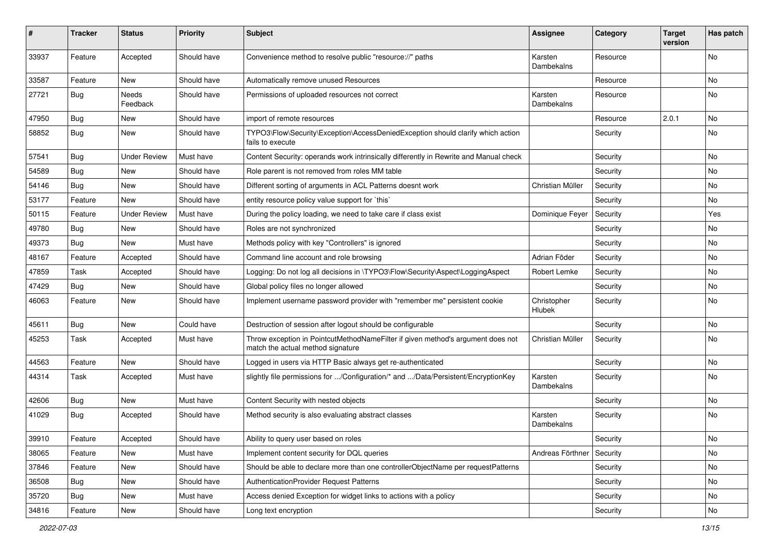| #     | Tracker    | <b>Status</b>            | <b>Priority</b> | <b>Subject</b>                                                                                                       | Assignee              | Category | <b>Target</b><br>version | Has patch |
|-------|------------|--------------------------|-----------------|----------------------------------------------------------------------------------------------------------------------|-----------------------|----------|--------------------------|-----------|
| 33937 | Feature    | Accepted                 | Should have     | Convenience method to resolve public "resource://" paths                                                             | Karsten<br>Dambekalns | Resource |                          | No        |
| 33587 | Feature    | New                      | Should have     | Automatically remove unused Resources                                                                                |                       | Resource |                          | No        |
| 27721 | Bug        | <b>Needs</b><br>Feedback | Should have     | Permissions of uploaded resources not correct                                                                        | Karsten<br>Dambekalns | Resource |                          | No        |
| 47950 | <b>Bug</b> | New                      | Should have     | import of remote resources                                                                                           |                       | Resource | 2.0.1                    | No        |
| 58852 | <b>Bug</b> | New                      | Should have     | TYPO3\Flow\Security\Exception\AccessDeniedException should clarify which action<br>fails to execute                  |                       | Security |                          | No        |
| 57541 | <b>Bug</b> | <b>Under Review</b>      | Must have       | Content Security: operands work intrinsically differently in Rewrite and Manual check                                |                       | Security |                          | <b>No</b> |
| 54589 | <b>Bug</b> | New                      | Should have     | Role parent is not removed from roles MM table                                                                       |                       | Security |                          | No        |
| 54146 | Bug        | New                      | Should have     | Different sorting of arguments in ACL Patterns doesnt work                                                           | Christian Müller      | Security |                          | No        |
| 53177 | Feature    | New                      | Should have     | entity resource policy value support for `this`                                                                      |                       | Security |                          | No        |
| 50115 | Feature    | <b>Under Review</b>      | Must have       | During the policy loading, we need to take care if class exist                                                       | Dominique Feyer       | Security |                          | Yes       |
| 49780 | <b>Bug</b> | New                      | Should have     | Roles are not synchronized                                                                                           |                       | Security |                          | No        |
| 49373 | <b>Bug</b> | New                      | Must have       | Methods policy with key "Controllers" is ignored                                                                     |                       | Security |                          | No        |
| 48167 | Feature    | Accepted                 | Should have     | Command line account and role browsing                                                                               | Adrian Föder          | Security |                          | No        |
| 47859 | Task       | Accepted                 | Should have     | Logging: Do not log all decisions in \TYPO3\Flow\Security\Aspect\LoggingAspect                                       | Robert Lemke          | Security |                          | No        |
| 47429 | <b>Bug</b> | New                      | Should have     | Global policy files no longer allowed                                                                                |                       | Security |                          | No        |
| 46063 | Feature    | New                      | Should have     | Implement username password provider with "remember me" persistent cookie                                            | Christopher<br>Hlubek | Security |                          | No        |
| 45611 | Bug        | New                      | Could have      | Destruction of session after logout should be configurable                                                           |                       | Security |                          | No        |
| 45253 | Task       | Accepted                 | Must have       | Throw exception in PointcutMethodNameFilter if given method's argument does not<br>match the actual method signature | Christian Müller      | Security |                          | No        |
| 44563 | Feature    | <b>New</b>               | Should have     | Logged in users via HTTP Basic always get re-authenticated                                                           |                       | Security |                          | No        |
| 44314 | Task       | Accepted                 | Must have       | slightly file permissions for /Configuration/* and /Data/Persistent/EncryptionKey                                    | Karsten<br>Dambekalns | Security |                          | No        |
| 42606 | <b>Bug</b> | New                      | Must have       | Content Security with nested objects                                                                                 |                       | Security |                          | No        |
| 41029 | <b>Bug</b> | Accepted                 | Should have     | Method security is also evaluating abstract classes                                                                  | Karsten<br>Dambekalns | Security |                          | No        |
| 39910 | Feature    | Accepted                 | Should have     | Ability to query user based on roles                                                                                 |                       | Security |                          | No        |
| 38065 | Feature    | New                      | Must have       | Implement content security for DQL queries                                                                           | Andreas Förthner      | Security |                          | No        |
| 37846 | Feature    | New                      | Should have     | Should be able to declare more than one controllerObjectName per requestPatterns                                     |                       | Security |                          | No        |
| 36508 | Bug        | New                      | Should have     | AuthenticationProvider Request Patterns                                                                              |                       | Security |                          | No        |
| 35720 | <b>Bug</b> | New                      | Must have       | Access denied Exception for widget links to actions with a policy                                                    |                       | Security |                          | No        |
| 34816 | Feature    | New                      | Should have     | Long text encryption                                                                                                 |                       | Security |                          | No        |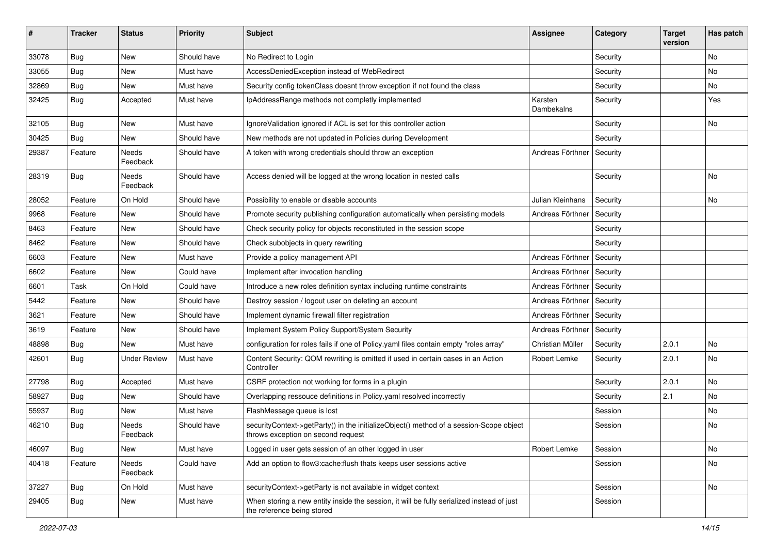| #     | <b>Tracker</b> | <b>Status</b>       | <b>Priority</b> | <b>Subject</b>                                                                                                               | <b>Assignee</b>       | Category | <b>Target</b><br>version | Has patch |
|-------|----------------|---------------------|-----------------|------------------------------------------------------------------------------------------------------------------------------|-----------------------|----------|--------------------------|-----------|
| 33078 | Bug            | <b>New</b>          | Should have     | No Redirect to Login                                                                                                         |                       | Security |                          | No        |
| 33055 | Bug            | New                 | Must have       | AccessDeniedException instead of WebRedirect                                                                                 |                       | Security |                          | No        |
| 32869 | <b>Bug</b>     | New                 | Must have       | Security config tokenClass doesnt throw exception if not found the class                                                     |                       | Security |                          | No        |
| 32425 | Bug            | Accepted            | Must have       | IpAddressRange methods not completly implemented                                                                             | Karsten<br>Dambekalns | Security |                          | Yes       |
| 32105 | Bug            | <b>New</b>          | Must have       | IgnoreValidation ignored if ACL is set for this controller action                                                            |                       | Security |                          | <b>No</b> |
| 30425 | <b>Bug</b>     | New                 | Should have     | New methods are not updated in Policies during Development                                                                   |                       | Security |                          |           |
| 29387 | Feature        | Needs<br>Feedback   | Should have     | A token with wrong credentials should throw an exception                                                                     | Andreas Förthner      | Security |                          |           |
| 28319 | Bug            | Needs<br>Feedback   | Should have     | Access denied will be logged at the wrong location in nested calls                                                           |                       | Security |                          | <b>No</b> |
| 28052 | Feature        | On Hold             | Should have     | Possibility to enable or disable accounts                                                                                    | Julian Kleinhans      | Security |                          | <b>No</b> |
| 9968  | Feature        | New                 | Should have     | Promote security publishing configuration automatically when persisting models                                               | Andreas Förthner      | Security |                          |           |
| 8463  | Feature        | New                 | Should have     | Check security policy for objects reconstituted in the session scope                                                         |                       | Security |                          |           |
| 8462  | Feature        | New                 | Should have     | Check subobjects in query rewriting                                                                                          |                       | Security |                          |           |
| 6603  | Feature        | New                 | Must have       | Provide a policy management API                                                                                              | Andreas Förthner      | Security |                          |           |
| 6602  | Feature        | <b>New</b>          | Could have      | Implement after invocation handling                                                                                          | Andreas Förthner      | Security |                          |           |
| 6601  | Task           | On Hold             | Could have      | Introduce a new roles definition syntax including runtime constraints                                                        | Andreas Förthner      | Security |                          |           |
| 5442  | Feature        | New                 | Should have     | Destroy session / logout user on deleting an account                                                                         | Andreas Förthner      | Security |                          |           |
| 3621  | Feature        | New                 | Should have     | Implement dynamic firewall filter registration                                                                               | Andreas Förthner      | Security |                          |           |
| 3619  | Feature        | New                 | Should have     | Implement System Policy Support/System Security                                                                              | Andreas Förthner      | Security |                          |           |
| 48898 | Bug            | New                 | Must have       | configuration for roles fails if one of Policy yaml files contain empty "roles array"                                        | Christian Müller      | Security | 2.0.1                    | No        |
| 42601 | <b>Bug</b>     | <b>Under Review</b> | Must have       | Content Security: QOM rewriting is omitted if used in certain cases in an Action<br>Controller                               | Robert Lemke          | Security | 2.0.1                    | No        |
| 27798 | Bug            | Accepted            | Must have       | CSRF protection not working for forms in a plugin                                                                            |                       | Security | 2.0.1                    | <b>No</b> |
| 58927 | <b>Bug</b>     | New                 | Should have     | Overlapping ressouce definitions in Policy.yaml resolved incorrectly                                                         |                       | Security | 2.1                      | No        |
| 55937 | <b>Bug</b>     | New                 | Must have       | FlashMessage queue is lost                                                                                                   |                       | Session  |                          | No        |
| 46210 | Bug            | Needs<br>Feedback   | Should have     | securityContext->getParty() in the initializeObject() method of a session-Scope object<br>throws exception on second request |                       | Session  |                          | No        |
| 46097 | Bug            | New                 | Must have       | Logged in user gets session of an other logged in user                                                                       | Robert Lemke          | Session  |                          | No        |
| 40418 | Feature        | Needs<br>Feedback   | Could have      | Add an option to flow3:cache:flush thats keeps user sessions active                                                          |                       | Session  |                          | No        |
| 37227 | Bug            | On Hold             | Must have       | securityContext->getParty is not available in widget context                                                                 |                       | Session  |                          | No        |
| 29405 | <b>Bug</b>     | New                 | Must have       | When storing a new entity inside the session, it will be fully serialized instead of just<br>the reference being stored      |                       | Session  |                          |           |